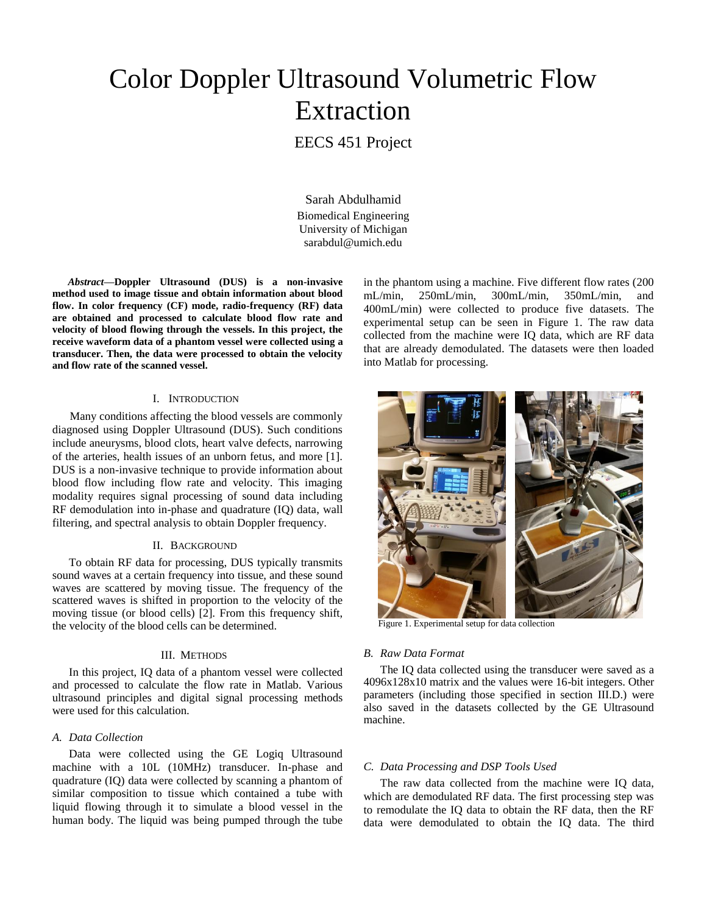# Color Doppler Ultrasound Volumetric Flow Extraction

# EECS 451 Project

Sarah Abdulhamid Biomedical Engineering University of Michigan sarabdul@umich.edu

*Abstract***—Doppler Ultrasound (DUS) is a non-invasive method used to image tissue and obtain information about blood flow. In color frequency (CF) mode, radio-frequency (RF) data are obtained and processed to calculate blood flow rate and velocity of blood flowing through the vessels. In this project, the receive waveform data of a phantom vessel were collected using a transducer. Then, the data were processed to obtain the velocity and flow rate of the scanned vessel.**

#### I. INTRODUCTION

 Many conditions affecting the blood vessels are commonly diagnosed using Doppler Ultrasound (DUS). Such conditions include aneurysms, blood clots, heart valve defects, narrowing of the arteries, health issues of an unborn fetus, and more [1]. DUS is a non-invasive technique to provide information about blood flow including flow rate and velocity. This imaging modality requires signal processing of sound data including RF demodulation into in-phase and quadrature (IQ) data, wall filtering, and spectral analysis to obtain Doppler frequency.

#### II. BACKGROUND

To obtain RF data for processing, DUS typically transmits sound waves at a certain frequency into tissue, and these sound waves are scattered by moving tissue. The frequency of the scattered waves is shifted in proportion to the velocity of the moving tissue (or blood cells) [2]. From this frequency shift, the velocity of the blood cells can be determined.

# III. METHODS

In this project, IQ data of a phantom vessel were collected and processed to calculate the flow rate in Matlab. Various ultrasound principles and digital signal processing methods were used for this calculation.

# *A. Data Collection*

Data were collected using the GE Logiq Ultrasound machine with a 10L (10MHz) transducer. In-phase and quadrature (IQ) data were collected by scanning a phantom of similar composition to tissue which contained a tube with liquid flowing through it to simulate a blood vessel in the human body. The liquid was being pumped through the tube in the phantom using a machine. Five different flow rates (200 mL/min, 250mL/min, 300mL/min, 350mL/min, and 400mL/min) were collected to produce five datasets. The experimental setup can be seen in Figure 1. The raw data collected from the machine were IQ data, which are RF data that are already demodulated. The datasets were then loaded into Matlab for processing.



Figure 1. Experimental setup for data collection

#### *B. Raw Data Format*

The IQ data collected using the transducer were saved as a 4096x128x10 matrix and the values were 16-bit integers. Other parameters (including those specified in section III.D.) were also saved in the datasets collected by the GE Ultrasound machine.

# *C. Data Processing and DSP Tools Used*

The raw data collected from the machine were IQ data, which are demodulated RF data. The first processing step was to remodulate the IQ data to obtain the RF data, then the RF data were demodulated to obtain the IQ data. The third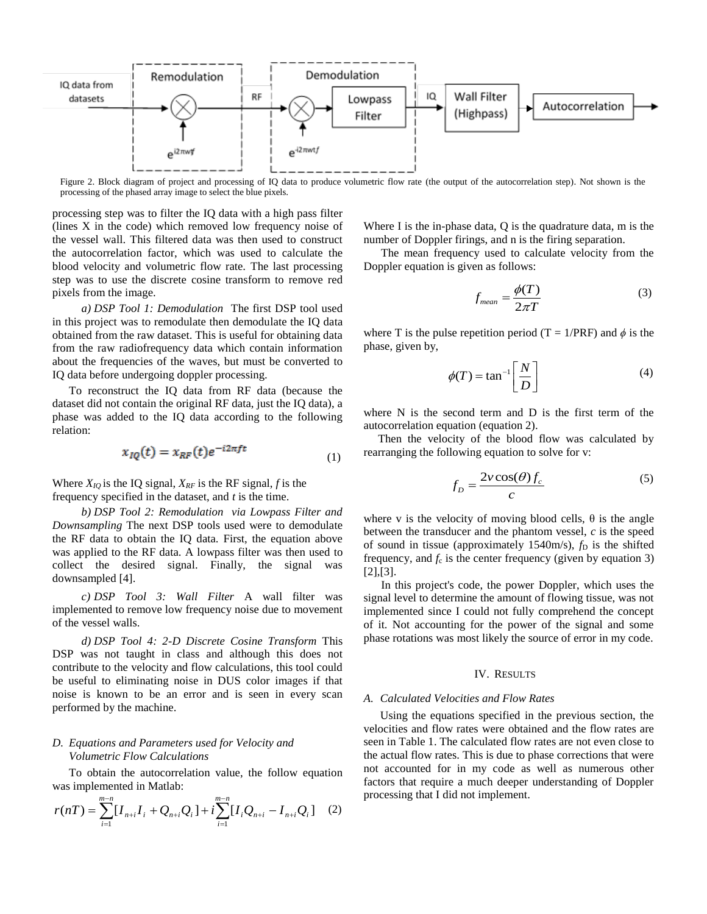

Figure 2. Block diagram of project and processing of IQ data to produce volumetric flow rate (the output of the autocorrelation step). Not shown is the processing of the phased array image to select the blue pixels.

processing step was to filter the IQ data with a high pass filter (lines X in the code) which removed low frequency noise of the vessel wall. This filtered data was then used to construct the autocorrelation factor, which was used to calculate the blood velocity and volumetric flow rate. The last processing step was to use the discrete cosine transform to remove red pixels from the image.

*a) DSP Tool 1: Demodulation* The first DSP tool used in this project was to remodulate then demodulate the IQ data obtained from the raw dataset. This is useful for obtaining data from the raw radiofrequency data which contain information about the frequencies of the waves, but must be converted to IQ data before undergoing doppler processing.

To reconstruct the IQ data from RF data (because the dataset did not contain the original RF data, just the IQ data), a phase was added to the IQ data according to the following relation:

$$
x_{IQ}(t) = x_{RF}(t)e^{-i2\pi ft} \tag{1}
$$

Where  $X_{IO}$  is the IQ signal,  $X_{RF}$  is the RF signal, *f* is the frequency specified in the dataset, and *t* is the time.

*b) DSP Tool 2: Remodulation via Lowpass Filter and Downsampling* The next DSP tools used were to demodulate the RF data to obtain the IQ data. First, the equation above was applied to the RF data. A lowpass filter was then used to collect the desired signal. Finally, the signal was downsampled [4].

*c) DSP Tool 3: Wall Filter* A wall filter was implemented to remove low frequency noise due to movement of the vessel walls.

*d) DSP Tool 4: 2-D Discrete Cosine Transform* This DSP was not taught in class and although this does not contribute to the velocity and flow calculations, this tool could be useful to eliminating noise in DUS color images if that noise is known to be an error and is seen in every scan performed by the machine.

# *D. Equations and Parameters used for Velocity and Volumetric Flow Calculations*

To obtain the autocorrelation value, the follow equation was implemented in Matlab:

$$
r(nT) = \sum_{i=1}^{m-n} [I_{n+i}I_i + Q_{n+i}Q_i] + i \sum_{i=1}^{m-n} [I_iQ_{n+i} - I_{n+i}Q_i] \quad (2)
$$

Where I is the in-phase data, Q is the quadrature data, m is the number of Doppler firings, and n is the firing separation.

 The mean frequency used to calculate velocity from the Doppler equation is given as follows:

$$
f_{mean} = \frac{\phi(T)}{2\pi T}
$$
 (3)

where T is the pulse repetition period (T = 1/PRF) and  $\phi$  is the phase, given by,

$$
\phi(T) = \tan^{-1} \left[ \frac{N}{D} \right] \tag{4}
$$

where N is the second term and D is the first term of the autocorrelation equation (equation 2).

 Then the velocity of the blood flow was calculated by rearranging the following equation to solve for v:

$$
f_D = \frac{2v\cos(\theta)f_c}{c}
$$
 (5)

where v is the velocity of moving blood cells,  $\theta$  is the angle between the transducer and the phantom vessel, *c* is the speed of sound in tissue (approximately 1540m/s),  $f<sub>D</sub>$  is the shifted frequency, and  $f_c$  is the center frequency (given by equation 3) [2],[3].

 In this project's code, the power Doppler, which uses the signal level to determine the amount of flowing tissue, was not implemented since I could not fully comprehend the concept of it. Not accounting for the power of the signal and some phase rotations was most likely the source of error in my code.

# IV. RESULTS

# *A. Calculated Velocities and Flow Rates*

Using the equations specified in the previous section, the velocities and flow rates were obtained and the flow rates are seen in Table 1. The calculated flow rates are not even close to the actual flow rates. This is due to phase corrections that were not accounted for in my code as well as numerous other factors that require a much deeper understanding of Doppler processing that I did not implement.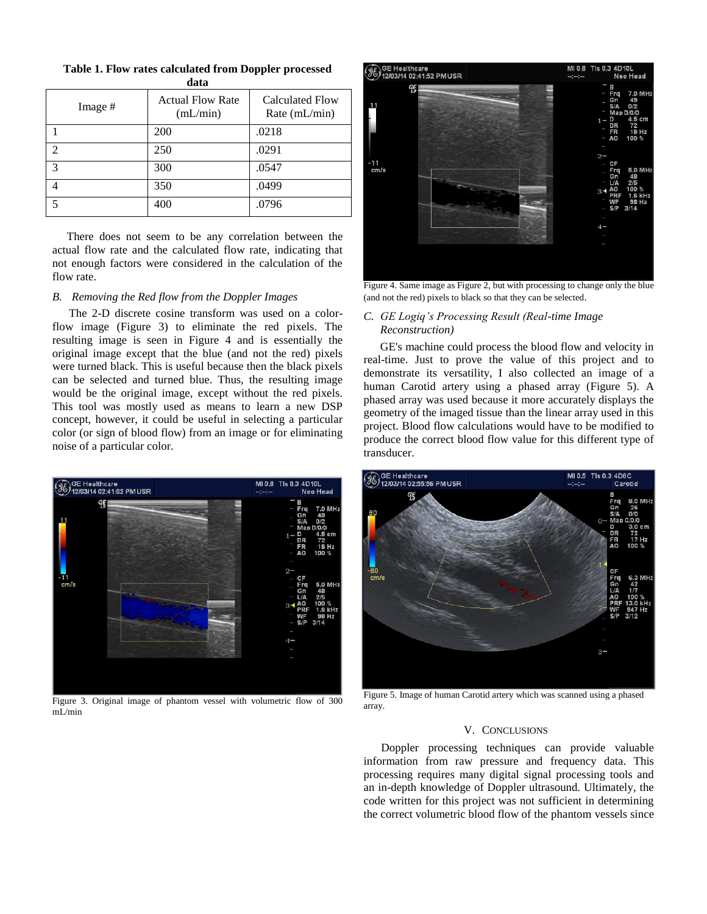| Table 1. Flow rates calculated from Doppler processed |
|-------------------------------------------------------|
| data                                                  |

| Image #                     | <b>Actual Flow Rate</b><br>(mL/min) | <b>Calculated Flow</b><br>Rate (mL/min) |  |
|-----------------------------|-------------------------------------|-----------------------------------------|--|
|                             | 200                                 | .0218                                   |  |
| $\mathcal{D}_{\mathcal{A}}$ | 250                                 | .0291                                   |  |
| 3                           | 300                                 | .0547                                   |  |
| 4                           | 350                                 | .0499                                   |  |
| 5                           | 400                                 | .0796                                   |  |

 There does not seem to be any correlation between the actual flow rate and the calculated flow rate, indicating that not enough factors were considered in the calculation of the flow rate.

# *B. Removing the Red flow from the Doppler Images*

The 2-D discrete cosine transform was used on a colorflow image (Figure 3) to eliminate the red pixels. The resulting image is seen in Figure 4 and is essentially the original image except that the blue (and not the red) pixels were turned black. This is useful because then the black pixels can be selected and turned blue. Thus, the resulting image would be the original image, except without the red pixels. This tool was mostly used as means to learn a new DSP concept, however, it could be useful in selecting a particular color (or sign of blood flow) from an image or for eliminating noise of a particular color.



Figure 3. Original image of phantom vessel with volumetric flow of 300 mL/min



Figure 4. Same image as Figure 2, but with processing to change only the blue (and not the red) pixels to black so that they can be selected.

# *C. GE Logiq's Processing Result (Real-time Image Reconstruction)*

GE's machine could process the blood flow and velocity in real-time. Just to prove the value of this project and to demonstrate its versatility, I also collected an image of a human Carotid artery using a phased array (Figure 5). A phased array was used because it more accurately displays the geometry of the imaged tissue than the linear array used in this project. Blood flow calculations would have to be modified to produce the correct blood flow value for this different type of transducer.



Figure 5. Image of human Carotid artery which was scanned using a phased array.

# V. CONCLUSIONS

 Doppler processing techniques can provide valuable information from raw pressure and frequency data. This processing requires many digital signal processing tools and an in-depth knowledge of Doppler ultrasound. Ultimately, the code written for this project was not sufficient in determining the correct volumetric blood flow of the phantom vessels since